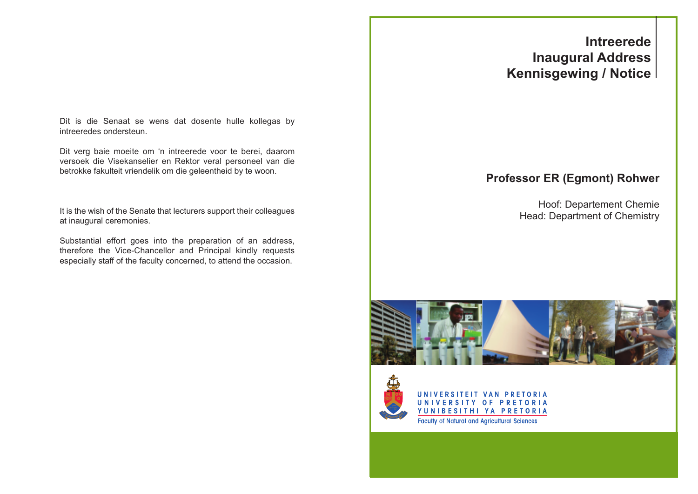Dit is die Senaat se wens dat dosente hulle kollegas by intreeredes ondersteun.

Dit verg baie moeite om 'n intreerede voor te berei, daarom versoek die Visekanselier en Rektor veral personeel van die betrokke fakulteit vriendelik om die geleentheid by te woon.

It is the wish of the Senate that lecturers support their colleagues at inaugural ceremonies.

Substantial effort goes into the preparation of an address, therefore the Vice-Chancellor and Principal kindly requests especially staff of the faculty concerned, to attend the occasion.

## **Intreerede Inaugural Address Kennisgewing / Notice**

## **Professor ER (Egmont) Rohwer**

Hoof: Departement Chemie Head: Department of Chemistry





UNIVERSITEIT VAN PRETORIA UNIVERSITY OF PRETORIA YUNIBESITHI YA PRETORIA